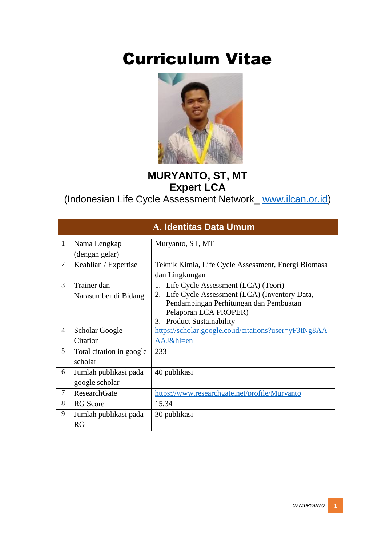# Curriculum Vitae



#### **MURYANTO, ST, MT Expert LCA**

(Indonesian Life Cycle Assessment Network\_ [www.ilcan.or.id\)](http://www.ilcan.or.id/)

|                |                          | <b>A. Identitas Data Umum</b>                         |
|----------------|--------------------------|-------------------------------------------------------|
| 1              | Nama Lengkap             | Muryanto, ST, MT                                      |
|                | (dengan gelar)           |                                                       |
| $\overline{2}$ | Keahlian / Expertise     | Teknik Kimia, Life Cycle Assessment, Energi Biomasa   |
|                |                          | dan Lingkungan                                        |
| 3              | Trainer dan              | 1. Life Cycle Assessment (LCA) (Teori)                |
|                | Narasumber di Bidang     | 2. Life Cycle Assessment (LCA) (Inventory Data,       |
|                |                          | Pendampingan Perhitungan dan Pembuatan                |
|                |                          | Pelaporan LCA PROPER)                                 |
| 4              |                          | <b>Product Sustainability</b><br>3.                   |
|                | Scholar Google           | https://scholar.google.co.id/citations?user=yF3tNg8AA |
|                | Citation                 | AAJ&hl=en                                             |
| 5              | Total citation in google | 233                                                   |
|                | scholar                  |                                                       |
| 6              | Jumlah publikasi pada    | 40 publikasi                                          |
|                | google scholar           |                                                       |
| $\tau$         | <b>ResearchGate</b>      | https://www.researchgate.net/profile/Muryanto         |
| 8              | <b>RG</b> Score          | 15.34                                                 |
| 9              | Jumlah publikasi pada    | 30 publikasi                                          |
|                | <b>RG</b>                |                                                       |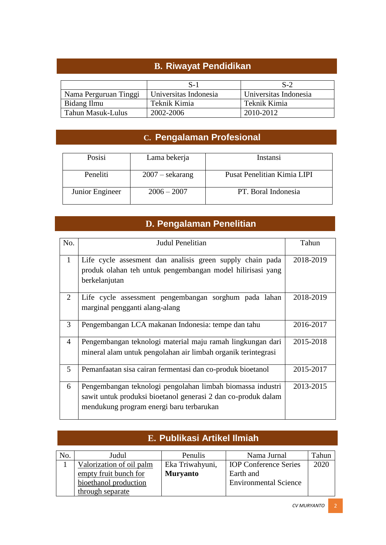#### **B. Riwayat Pendidikan**

|                       | $S-1$                 | $S-2$                 |
|-----------------------|-----------------------|-----------------------|
| Nama Perguruan Tinggi | Universitas Indonesia | Universitas Indonesia |
| Bidang Ilmu           | Teknik Kimia          | Teknik Kimia          |
| Tahun Masuk-Lulus     | 2002-2006             | 2010-2012             |

#### **C. Pengalaman Profesional**

| Posisi          | Lama bekerja      | Instansi                    |
|-----------------|-------------------|-----------------------------|
| Peneliti        | $2007 -$ sekarang | Pusat Penelitian Kimia LIPI |
| Junior Engineer | $2006 - 2007$     | PT. Boral Indonesia         |

#### **D. Pengalaman Penelitian**

| No.                         | Judul Penelitian                                              | Tahun     |
|-----------------------------|---------------------------------------------------------------|-----------|
|                             |                                                               |           |
| $\mathbf{1}$                | Life cycle assesment dan analisis green supply chain pada     | 2018-2019 |
|                             | produk olahan teh untuk pengembangan model hilirisasi yang    |           |
|                             | berkelanjutan                                                 |           |
| $\mathcal{D}_{\mathcal{L}}$ | Life cycle assessment pengembangan sorghum pada lahan         | 2018-2019 |
|                             | marginal pengganti alang-alang                                |           |
| 3                           | Pengembangan LCA makanan Indonesia: tempe dan tahu            | 2016-2017 |
| $\overline{4}$              | Pengembangan teknologi material maju ramah lingkungan dari    | 2015-2018 |
|                             | mineral alam untuk pengolahan air limbah organik terintegrasi |           |
| 5                           | Pemanfaatan sisa cairan fermentasi dan co-produk bioetanol    | 2015-2017 |
| 6                           | Pengembangan teknologi pengolahan limbah biomassa industri    | 2013-2015 |
|                             | sawit untuk produksi bioetanol generasi 2 dan co-produk dalam |           |
|                             | mendukung program energi baru terbarukan                      |           |
|                             |                                                               |           |

|     | E. Publikasi Artikel Ilmiah              |                 |                              |      |  |  |  |  |
|-----|------------------------------------------|-----------------|------------------------------|------|--|--|--|--|
| No. | Tahun<br>Penulis<br>Nama Jurnal<br>Judul |                 |                              |      |  |  |  |  |
|     | Valorization of oil palm                 | Eka Triwahyuni, | <b>IOP</b> Conference Series | 2020 |  |  |  |  |
|     | empty fruit bunch for                    | <b>Muryanto</b> | Earth and                    |      |  |  |  |  |
|     | bioethanol production                    |                 | <b>Environmental Science</b> |      |  |  |  |  |
|     | through separate                         |                 |                              |      |  |  |  |  |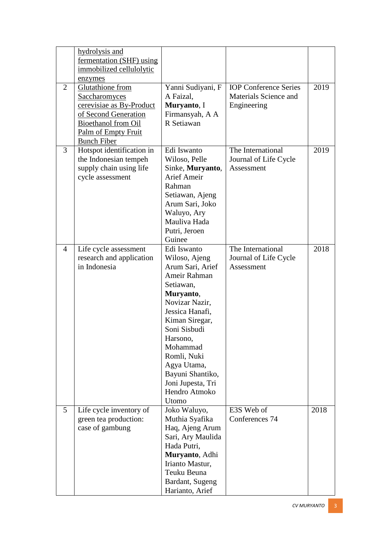|                | hydrolysis and             |                    |                              |      |
|----------------|----------------------------|--------------------|------------------------------|------|
|                | fermentation (SHF) using   |                    |                              |      |
|                | immobilized cellulolytic   |                    |                              |      |
|                | enzymes                    |                    |                              |      |
| $\overline{2}$ | <b>Glutathione</b> from    | Yanni Sudiyani, F  | <b>IOP</b> Conference Series | 2019 |
|                | <b>Saccharomyces</b>       | A Faizal,          | Materials Science and        |      |
|                | cerevisiae as By-Product   | Muryanto, I        | Engineering                  |      |
|                | of Second Generation       | Firmansyah, A A    |                              |      |
|                | <b>Bioethanol</b> from Oil | R Setiawan         |                              |      |
|                | Palm of Empty Fruit        |                    |                              |      |
|                | <b>Bunch Fiber</b>         |                    |                              |      |
| 3              | Hotspot identification in  | Edi Iswanto        | The International            | 2019 |
|                | the Indonesian tempeh      | Wiloso, Pelle      | Journal of Life Cycle        |      |
|                | supply chain using life    | Sinke, Muryanto,   | Assessment                   |      |
|                | cycle assessment           | <b>Arief Ameir</b> |                              |      |
|                |                            | Rahman             |                              |      |
|                |                            |                    |                              |      |
|                |                            | Setiawan, Ajeng    |                              |      |
|                |                            | Arum Sari, Joko    |                              |      |
|                |                            | Waluyo, Ary        |                              |      |
|                |                            | Mauliva Hada       |                              |      |
|                |                            | Putri, Jeroen      |                              |      |
|                |                            | Guinee             |                              |      |
| $\overline{4}$ | Life cycle assessment      | Edi Iswanto        | The International            | 2018 |
|                | research and application   | Wiloso, Ajeng      | Journal of Life Cycle        |      |
|                | in Indonesia               | Arum Sari, Arief   | Assessment                   |      |
|                |                            | Ameir Rahman       |                              |      |
|                |                            | Setiawan,          |                              |      |
|                |                            | Muryanto,          |                              |      |
|                |                            | Novizar Nazir,     |                              |      |
|                |                            | Jessica Hanafi,    |                              |      |
|                |                            | Kiman Siregar,     |                              |      |
|                |                            | Soni Sisbudi       |                              |      |
|                |                            | Harsono,           |                              |      |
|                |                            | Mohammad           |                              |      |
|                |                            | Romli, Nuki        |                              |      |
|                |                            | Agya Utama,        |                              |      |
|                |                            | Bayuni Shantiko,   |                              |      |
|                |                            | Joni Jupesta, Tri  |                              |      |
|                |                            | Hendro Atmoko      |                              |      |
|                |                            | Utomo              |                              |      |
| 5              | Life cycle inventory of    | Joko Waluyo,       | E3S Web of                   | 2018 |
|                | green tea production:      | Muthia Syafika     | Conferences 74               |      |
|                | case of gambung            | Haq, Ajeng Arum    |                              |      |
|                |                            | Sari, Ary Maulida  |                              |      |
|                |                            | Hada Putri,        |                              |      |
|                |                            | Muryanto, Adhi     |                              |      |
|                |                            | Irianto Mastur,    |                              |      |
|                |                            | Teuku Beuna        |                              |      |
|                |                            | Bardant, Sugeng    |                              |      |
|                |                            | Harianto, Arief    |                              |      |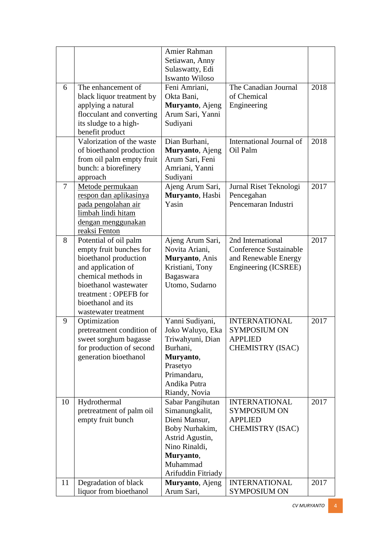|    |                           | Amier Rahman       |                               |      |
|----|---------------------------|--------------------|-------------------------------|------|
|    |                           | Setiawan, Anny     |                               |      |
|    |                           | Sulaswatty, Edi    |                               |      |
|    |                           | Iswanto Wiloso     |                               |      |
| 6  | The enhancement of        | Feni Amriani,      | The Canadian Journal          | 2018 |
|    | black liquor treatment by | Okta Bani,         | of Chemical                   |      |
|    | applying a natural        | Muryanto, Ajeng    | Engineering                   |      |
|    | flocculant and converting | Arum Sari, Yanni   |                               |      |
|    | its sludge to a high-     | Sudiyani           |                               |      |
|    | benefit product           |                    |                               |      |
|    | Valorization of the waste | Dian Burhani,      | International Journal of      | 2018 |
|    | of bioethanol production  | Muryanto, Ajeng    | Oil Palm                      |      |
|    | from oil palm empty fruit | Arum Sari, Feni    |                               |      |
|    | bunch: a biorefinery      | Amriani, Yanni     |                               |      |
|    | approach                  | Sudiyani           |                               |      |
| 7  | Metode permukaan          | Ajeng Arum Sari,   | Jurnal Riset Teknologi        | 2017 |
|    | respon dan aplikasinya    | Muryanto, Hasbi    | Pencegahan                    |      |
|    | pada pengolahan air       | Yasin              | Pencemaran Industri           |      |
|    | limbah lindi hitam        |                    |                               |      |
|    | dengan menggunakan        |                    |                               |      |
|    | reaksi Fenton             |                    |                               |      |
| 8  | Potential of oil palm     | Ajeng Arum Sari,   | 2nd International             | 2017 |
|    | empty fruit bunches for   | Novita Ariani,     | <b>Conference Sustainable</b> |      |
|    | bioethanol production     | Muryanto, Anis     | and Renewable Energy          |      |
|    | and application of        | Kristiani, Tony    | Engineering (ICSREE)          |      |
|    | chemical methods in       | Bagaswara          |                               |      |
|    | bioethanol wastewater     | Utomo, Sudarno     |                               |      |
|    | treatment: OPEFB for      |                    |                               |      |
|    | bioethanol and its        |                    |                               |      |
|    | wastewater treatment      |                    |                               |      |
| 9  | Optimization              | Yanni Sudiyani,    | <b>INTERNATIONAL</b>          | 2017 |
|    | pretreatment condition of | Joko Waluyo, Eka   | <b>SYMPOSIUM ON</b>           |      |
|    | sweet sorghum bagasse     | Triwahyuni, Dian   | <b>APPLIED</b>                |      |
|    | for production of second  | Burhani,           | <b>CHEMISTRY (ISAC)</b>       |      |
|    | generation bioethanol     | Muryanto,          |                               |      |
|    |                           | Prasetyo           |                               |      |
|    |                           | Primandaru,        |                               |      |
|    |                           | Andika Putra       |                               |      |
|    |                           | Riandy, Novia      |                               |      |
| 10 | Hydrothermal              | Sabar Pangihutan   | <b>INTERNATIONAL</b>          | 2017 |
|    | pretreatment of palm oil  | Simanungkalit,     | <b>SYMPOSIUM ON</b>           |      |
|    | empty fruit bunch         | Dieni Mansur,      | <b>APPLIED</b>                |      |
|    |                           | Boby Nurhakim,     | <b>CHEMISTRY (ISAC)</b>       |      |
|    |                           | Astrid Agustin,    |                               |      |
|    |                           | Nino Rinaldi,      |                               |      |
|    |                           | Muryanto,          |                               |      |
|    |                           | Muhammad           |                               |      |
|    |                           | Arifuddin Fitriady |                               |      |
| 11 | Degradation of black      | Muryanto, Ajeng    | <b>INTERNATIONAL</b>          | 2017 |
|    | liquor from bioethanol    | Arum Sari,         | <b>SYMPOSIUM ON</b>           |      |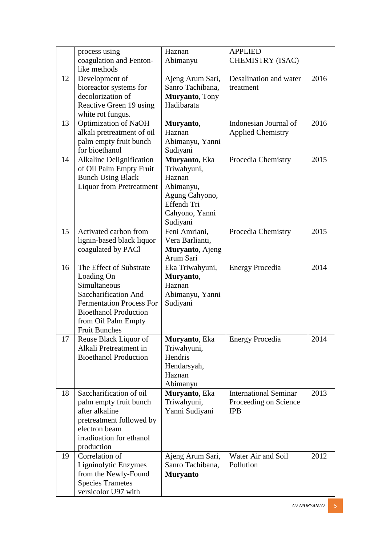|    | process using<br>coagulation and Fenton-                                                                                                                                                        | Haznan<br>Abimanyu                                                                                                 | <b>APPLIED</b><br><b>CHEMISTRY (ISAC)</b>                           |      |
|----|-------------------------------------------------------------------------------------------------------------------------------------------------------------------------------------------------|--------------------------------------------------------------------------------------------------------------------|---------------------------------------------------------------------|------|
|    | like methods                                                                                                                                                                                    |                                                                                                                    |                                                                     |      |
| 12 | Development of<br>bioreactor systems for<br>decolorization of<br>Reactive Green 19 using<br>white rot fungus.                                                                                   | Ajeng Arum Sari,<br>Sanro Tachibana,<br>Muryanto, Tony<br>Hadibarata                                               | Desalination and water<br>treatment                                 | 2016 |
| 13 | Optimization of NaOH<br>alkali pretreatment of oil<br>palm empty fruit bunch<br>for bioethanol                                                                                                  | Muryanto,<br>Haznan<br>Abimanyu, Yanni<br>Sudiyani                                                                 | Indonesian Journal of<br><b>Applied Chemistry</b>                   | 2016 |
| 14 | Alkaline Delignification<br>of Oil Palm Empty Fruit<br><b>Bunch Using Black</b><br><b>Liquor from Pretreatment</b>                                                                              | Muryanto, Eka<br>Triwahyuni,<br>Haznan<br>Abimanyu,<br>Agung Cahyono,<br>Effendi Tri<br>Cahyono, Yanni<br>Sudiyani | Procedia Chemistry                                                  | 2015 |
| 15 | Activated carbon from<br>lignin-based black liquor<br>coagulated by PACl                                                                                                                        | Feni Amriani,<br>Vera Barlianti,<br>Muryanto, Ajeng<br>Arum Sari                                                   | Procedia Chemistry                                                  | 2015 |
| 16 | The Effect of Substrate<br>Loading On<br>Simultaneous<br>Saccharification And<br><b>Fermentation Process For</b><br><b>Bioethanol Production</b><br>from Oil Palm Empty<br><b>Fruit Bunches</b> | Eka Triwahyuni,<br>Muryanto,<br>Haznan<br>Abimanyu, Yanni<br>Sudiyani                                              | <b>Energy Procedia</b>                                              | 2014 |
| 17 | Reuse Black Liquor of<br>Alkali Pretreatment in<br><b>Bioethanol Production</b>                                                                                                                 | <b>Muryanto</b> , Eka<br>Triwahyuni,<br>Hendris<br>Hendarsyah,<br>Haznan<br>Abimanyu                               | <b>Energy Procedia</b>                                              | 2014 |
| 18 | Saccharification of oil<br>palm empty fruit bunch<br>after alkaline<br>pretreatment followed by<br>electron beam<br>irradioation for ethanol<br>production                                      | Muryanto, Eka<br>Triwahyuni,<br>Yanni Sudiyani                                                                     | <b>International Seminar</b><br>Proceeding on Science<br><b>IPB</b> | 2013 |
| 19 | Correlation of<br>Ligninolytic Enzymes<br>from the Newly-Found<br><b>Species Trametes</b><br>versicolor U97 with                                                                                | Ajeng Arum Sari,<br>Sanro Tachibana,<br><b>Muryanto</b>                                                            | Water Air and Soil<br>Pollution                                     | 2012 |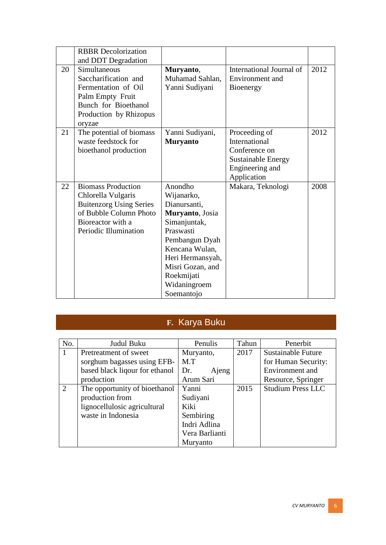|    | <b>RBBR</b> Decolorization<br>and DDT Degradation                                                                                                         |                                                                                                                                                                                                               |                                                                                                                |      |
|----|-----------------------------------------------------------------------------------------------------------------------------------------------------------|---------------------------------------------------------------------------------------------------------------------------------------------------------------------------------------------------------------|----------------------------------------------------------------------------------------------------------------|------|
| 20 | Simultaneous<br>Saccharification and<br>Fermentation of Oil<br>Palm Empty Fruit<br>Bunch for Bioethanol<br>Production by Rhizopus<br>oryzae               | Muryanto,<br>Muhamad Sahlan,<br>Yanni Sudiyani                                                                                                                                                                | International Journal of<br>Environment and<br>Bioenergy                                                       | 2012 |
| 21 | The potential of biomass<br>waste feedstock for<br>bioethanol production                                                                                  | Yanni Sudiyani,<br><b>Muryanto</b>                                                                                                                                                                            | Proceeding of<br>International<br>Conference on<br><b>Sustainable Energy</b><br>Engineering and<br>Application | 2012 |
| 22 | <b>Biomass Production</b><br>Chlorella Vulgaris<br><b>Buitenzorg Using Series</b><br>of Bubble Column Photo<br>Bioreactor with a<br>Periodic Illumination | Anondho<br>Wijanarko,<br>Dianursanti,<br>Muryanto, Josia<br>Simanjuntak,<br>Praswasti<br>Pembangun Dyah<br>Kencana Wulan,<br>Heri Hermansyah,<br>Misri Gozan, and<br>Roekmijati<br>Widaningroem<br>Soemantojo | Makara, Teknologi                                                                                              | 2008 |

## **F.** Karya Buku

| No. | Judul Buku                     | Penulis        | Tahun | Penerbit                  |
|-----|--------------------------------|----------------|-------|---------------------------|
|     | Pretreatment of sweet          | Muryanto,      | 2017  | <b>Sustainable Future</b> |
|     | sorghum bagasses using EFB-    | M.T            |       | for Human Security:       |
|     | based black liqour for ethanol | Dr.<br>Ajeng   |       | Environment and           |
|     | production                     | Arum Sari      |       | Resource, Springer        |
| 2   | The opportunity of bioethanol  | Yanni          | 2015  | <b>Studium Press LLC</b>  |
|     | production from                | Sudiyani       |       |                           |
|     | lignocellulosic agricultural   | Kiki           |       |                           |
|     | waste in Indonesia             | Sembiring      |       |                           |
|     |                                | Indri Adlina   |       |                           |
|     |                                | Vera Barlianti |       |                           |
|     |                                | Muryanto       |       |                           |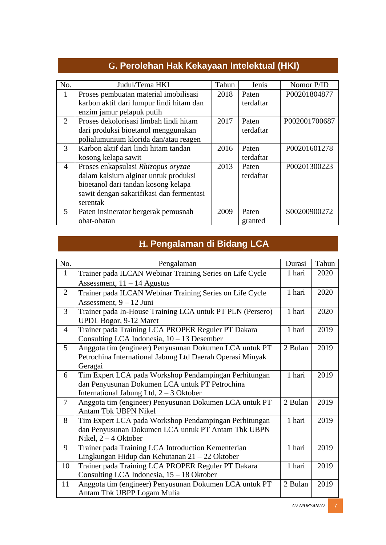| No.            | Judul/Tema HKI                           | Tahun | Jenis     | Nomor P/ID    |
|----------------|------------------------------------------|-------|-----------|---------------|
| 1              | Proses pembuatan material imobilisasi    | 2018  | Paten     | P00201804877  |
|                | karbon aktif dari lumpur lindi hitam dan |       | terdaftar |               |
|                | enzim jamur pelapuk putih                |       |           |               |
| $\overline{2}$ | Proses dekolorisasi limbah lindi hitam   | 2017  | Paten     | P002001700687 |
|                | dari produksi bioetanol menggunakan      |       | terdaftar |               |
|                | polialumunium klorida dan/atau reagen    |       |           |               |
| 3              | Karbon aktif dari lindi hitam tandan     | 2016  | Paten     | P00201601278  |
|                | kosong kelapa sawit                      |       | terdaftar |               |
| $\overline{4}$ | Proses enkapsulasi Rhizopus oryzae       | 2013  | Paten     | P00201300223  |
|                | dalam kalsium alginat untuk produksi     |       | terdaftar |               |
|                | bioetanol dari tandan kosong kelapa      |       |           |               |
|                | sawit dengan sakarifikasi dan fermentasi |       |           |               |
|                | serentak                                 |       |           |               |
| $\mathfrak{S}$ | Paten insinerator bergerak pemusnah      | 2009  | Paten     | S00200900272  |
|                | obat-obatan                              |       | granted   |               |

#### **G.** Perolehan Hak Kekayaan Intelektual (HKI)

### **H. Pengalaman di Bidang LCA**

| No.            | Pengalaman                                                | Durasi  | Tahun |
|----------------|-----------------------------------------------------------|---------|-------|
| $\mathbf{1}$   | Trainer pada ILCAN Webinar Training Series on Life Cycle  | 1 hari  | 2020  |
|                | Assessment, $11 - 14$ Agustus                             |         |       |
| $\overline{2}$ | Trainer pada ILCAN Webinar Training Series on Life Cycle  | 1 hari  | 2020  |
|                | Assessment, 9 - 12 Juni                                   |         |       |
| 3              | Trainer pada In-House Training LCA untuk PT PLN (Persero) | 1 hari  | 2020  |
|                | UPDL Bogor, 9-12 Maret                                    |         |       |
| $\overline{4}$ | Trainer pada Training LCA PROPER Reguler PT Dakara        | 1 hari  | 2019  |
|                | Consulting LCA Indonesia, $10 - 13$ Desember              |         |       |
| 5              | Anggota tim (engineer) Penyusunan Dokumen LCA untuk PT    | 2 Bulan | 2019  |
|                | Petrochina International Jabung Ltd Daerah Operasi Minyak |         |       |
|                | Geragai                                                   |         |       |
| 6              | Tim Expert LCA pada Workshop Pendampingan Perhitungan     | 1 hari  | 2019  |
|                | dan Penyusunan Dokumen LCA untuk PT Petrochina            |         |       |
|                | International Jabung Ltd, $2 - 3$ Oktober                 |         |       |
| $\overline{7}$ | Anggota tim (engineer) Penyusunan Dokumen LCA untuk PT    | 2 Bulan | 2019  |
|                | Antam Tbk UBPN Nikel                                      |         |       |
| 8              | Tim Expert LCA pada Workshop Pendampingan Perhitungan     | 1 hari  | 2019  |
|                | dan Penyusunan Dokumen LCA untuk PT Antam Tbk UBPN        |         |       |
|                | Nikel, $2 - 4$ Oktober                                    |         |       |
| 9              | Trainer pada Training LCA Introduction Kementerian        | 1 hari  | 2019  |
|                | Lingkungan Hidup dan Kehutanan $21 - 22$ Oktober          |         |       |
| 10             | Trainer pada Training LCA PROPER Reguler PT Dakara        | 1 hari  | 2019  |
|                | Consulting LCA Indonesia, 15 - 18 Oktober                 |         |       |
| 11             | Anggota tim (engineer) Penyusunan Dokumen LCA untuk PT    | 2 Bulan | 2019  |
|                | Antam Tbk UBPP Logam Mulia                                |         |       |